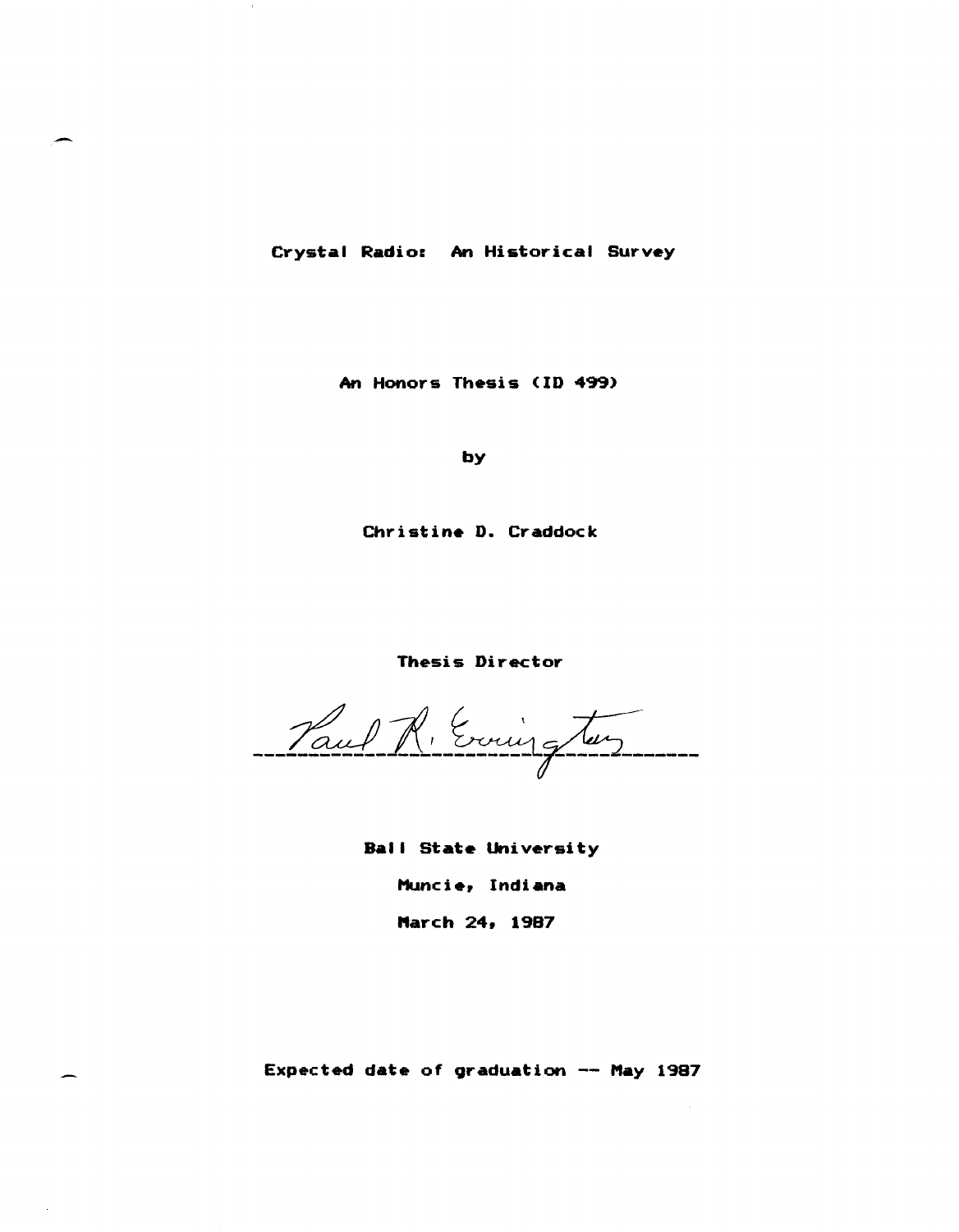Crystal Radio: An Historical Survey

An Honors Thesis (ID 499)

by

Christine D. Craddock

Thesis Director

Vaul R. Evrier glas

Ball State University Muncie, Indiana March 24, 1987

Expected date of graduation -- May 1987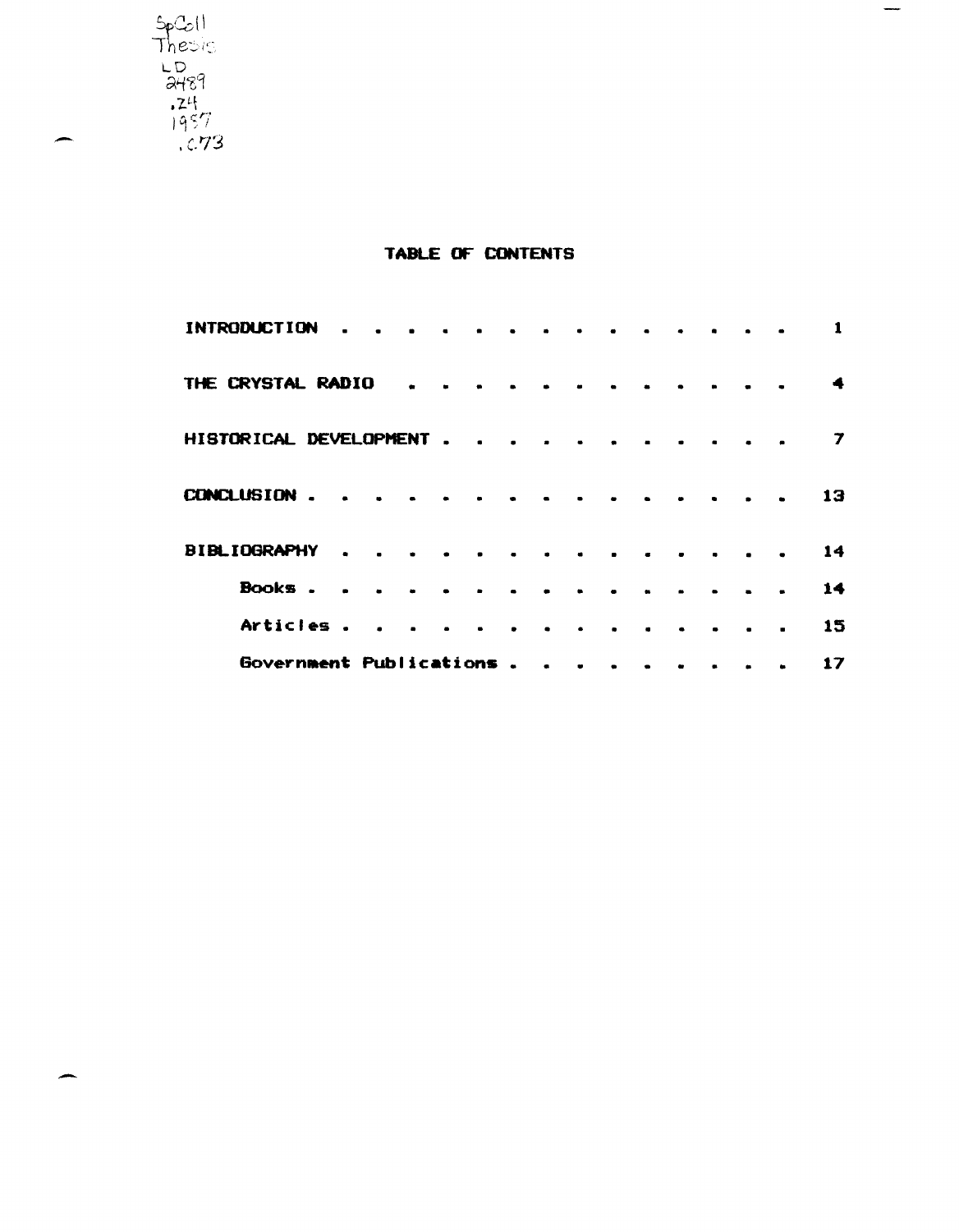

# TABLE OF CONTENTS

 $\hspace{0.1mm}-\hspace{0.1mm}$ 

| <b>INTRODUCTION</b>      | $\blacksquare$ |                |                      |           |        | $\mathbf{a}$ and $\mathbf{a}$ |  |  |  |                |
|--------------------------|----------------|----------------|----------------------|-----------|--------|-------------------------------|--|--|--|----------------|
| THE CRYSTAL RADIO        |                |                |                      |           |        |                               |  |  |  |                |
| HISTORICAL DEVELOPMENT   |                |                | $\ddot{\phantom{a}}$ | $\bullet$ |        |                               |  |  |  | $\overline{ }$ |
| <b>CONCLUSION</b>        |                |                |                      |           |        |                               |  |  |  | 13             |
| <b>BIBLIOGRAPHY</b>      | $\bullet$      | $\blacksquare$ |                      |           |        | $\blacksquare$                |  |  |  | 14             |
| Books.                   |                |                |                      |           |        |                               |  |  |  | 14             |
| Articles.                |                |                |                      |           |        |                               |  |  |  | 15             |
| Government Publications. |                |                |                      |           | $\sim$ |                               |  |  |  | 17             |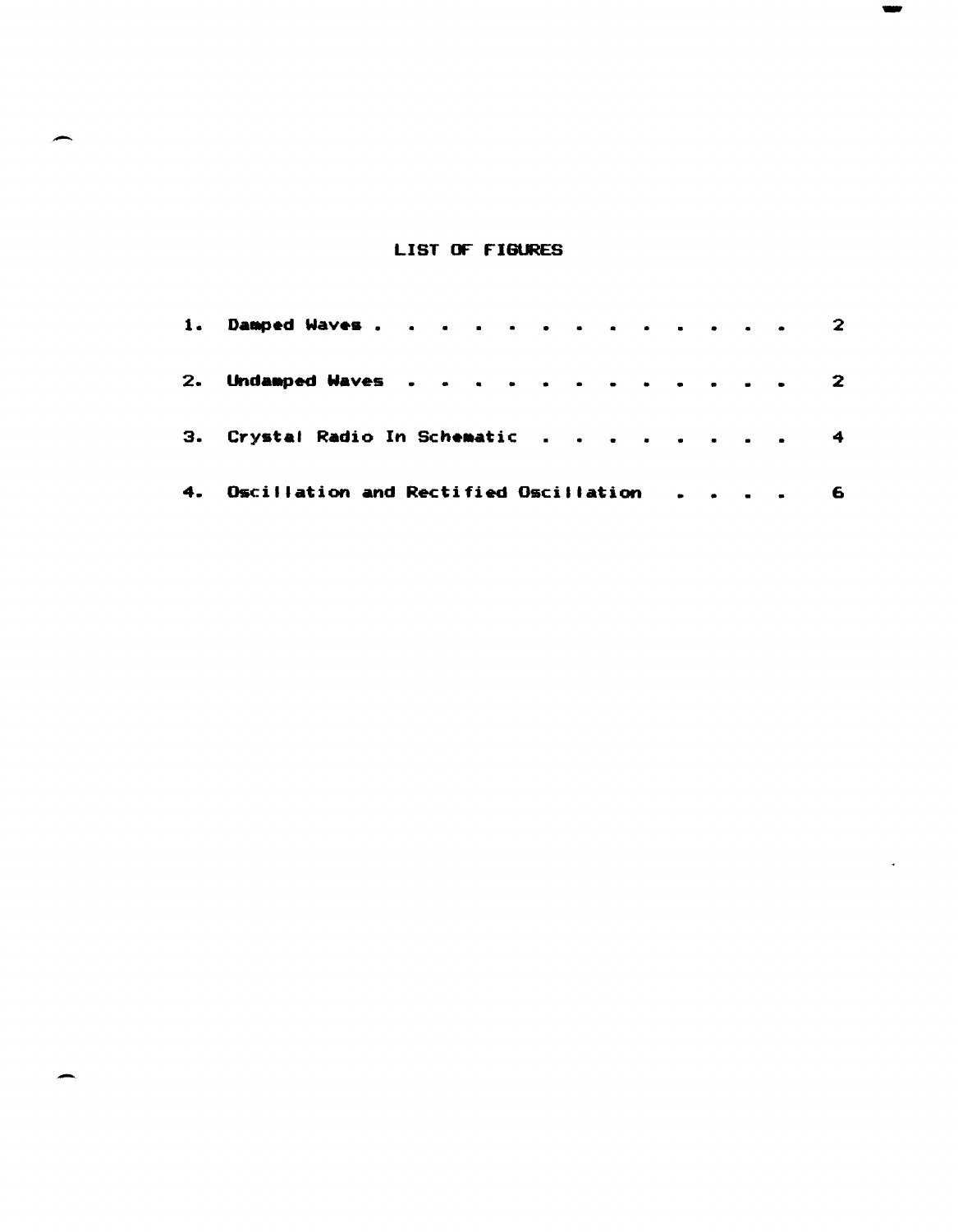# LIST OF FIGURES

|    | 1. Damped Waves. 2                       |  |  |   |
|----|------------------------------------------|--|--|---|
| 2. | Undamped Waves 2                         |  |  |   |
| з. | Crystal Radio In Schematic 4             |  |  |   |
|    | 4. Oscillation and Rectified Oscillation |  |  | 6 |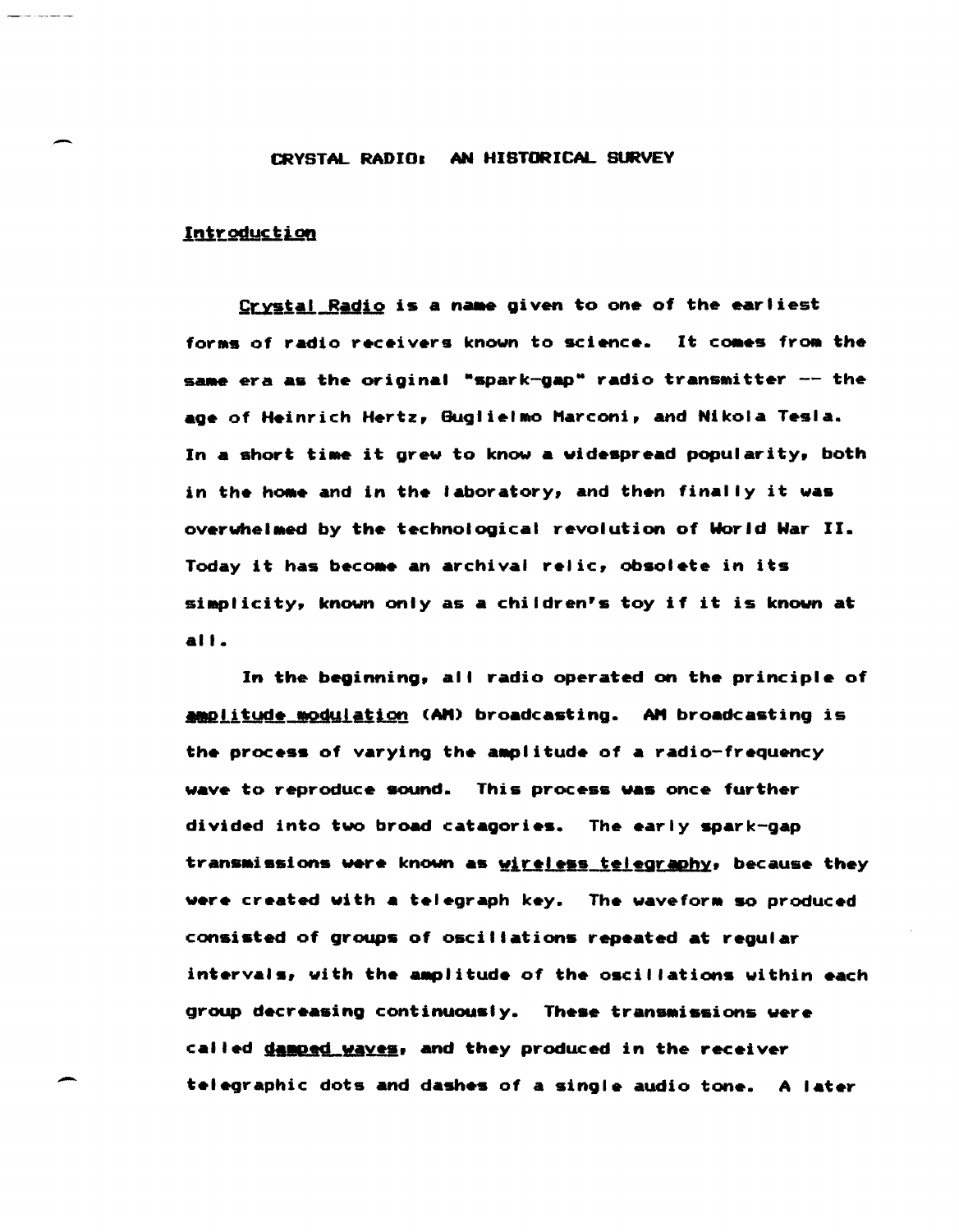### CRYSTAL RADIO: AN HISTORICAL SURVEY

# Introduction

Crystal Radio is a name given to one of the earliest forms of radio receivers known to science. It comes from the same era as the original "spark-gap" radio transmitter -- the age of Heinrich Hertz, Guglielmo Marconi, and Nikola Tesla. In a short time it grew to know a widespread popularity, both in the home and in the laboratory, and then finally it was overwhelmed by the technological revolution of World War II. Today it has become an archival relic, obsolete in its simplicity, known only as a children's toy if it is known at  $all.$ 

In the beginning, all radio operated on the principle of amplitude modulation (AM) broadcasting. AM broadcasting is the process of varying the amplitude of a radio-frequency wave to reproduce sound. This process was once further divided into two broad catagories. The early spark-gap transmissions were known as <u>wireless telegraphy</u>, because they were created with a telegraph key. The waveform so produced consisted of groups of oscillations repeated at regular intervals, with the amplitude of the oscillations within each group decreasing continuously. These transmissions were called damped wayes, and they produced in the receiver telegraphic dots and dashes of a single audio tone. A later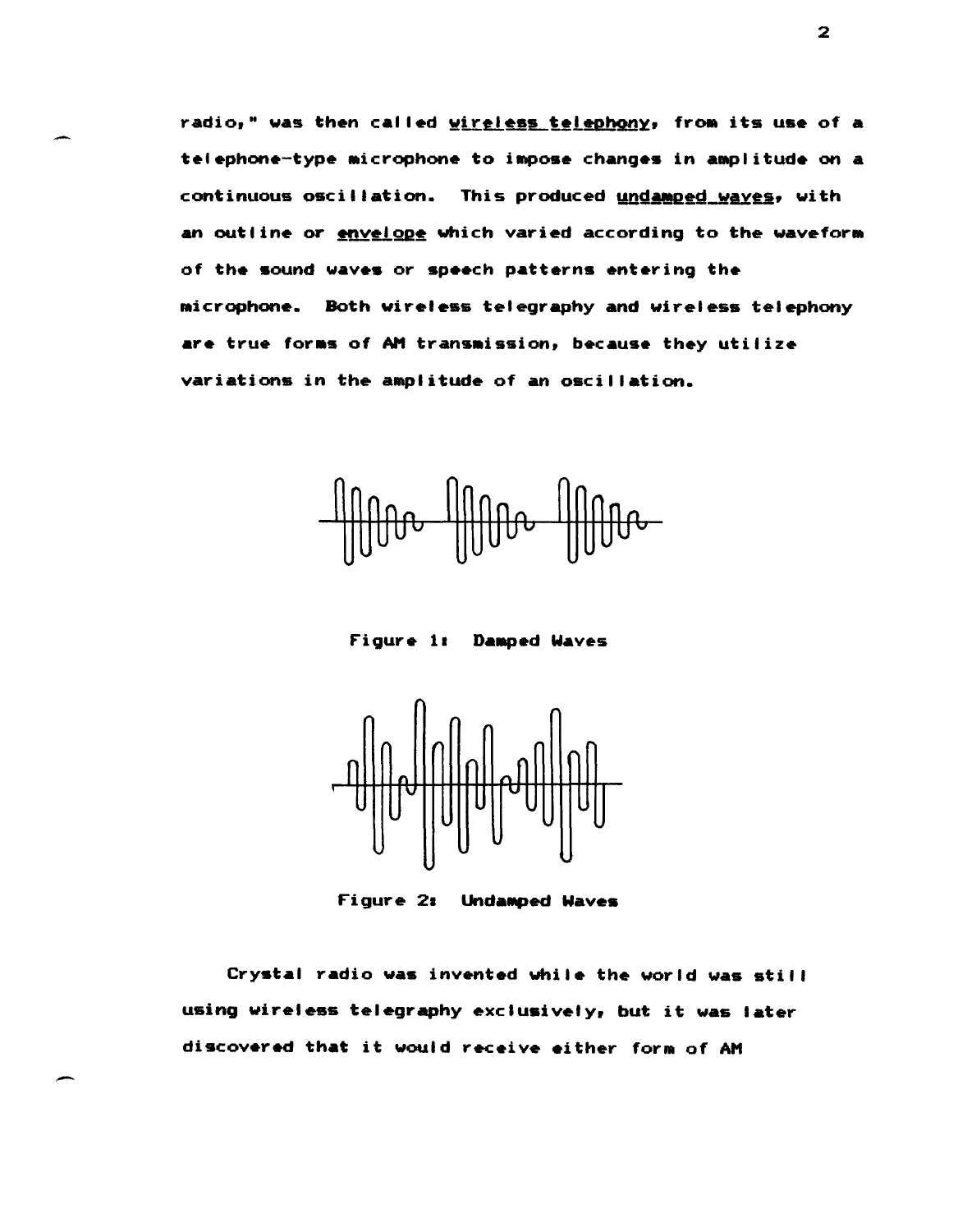radio," was then called wireless telephony, from its use of a telephone-type microphone to impose changes in amplitude on a continuous oscillation. This produced undamped waves, with an outline or envelope which varied according to the waveform of the sound waves or speech patterns entering the microphone. Both wireless telegraphy and wireless telephony are true forms of AM transmission, because they utilize variations in the amplitude of an oscillation.

Figure 1: Damped Waves



Figure 21 UndaMped Waves

Crystal radio was invented while the world was still using wireless telegraphy exclusively, but it was later discovered that it would receive either form of AM

-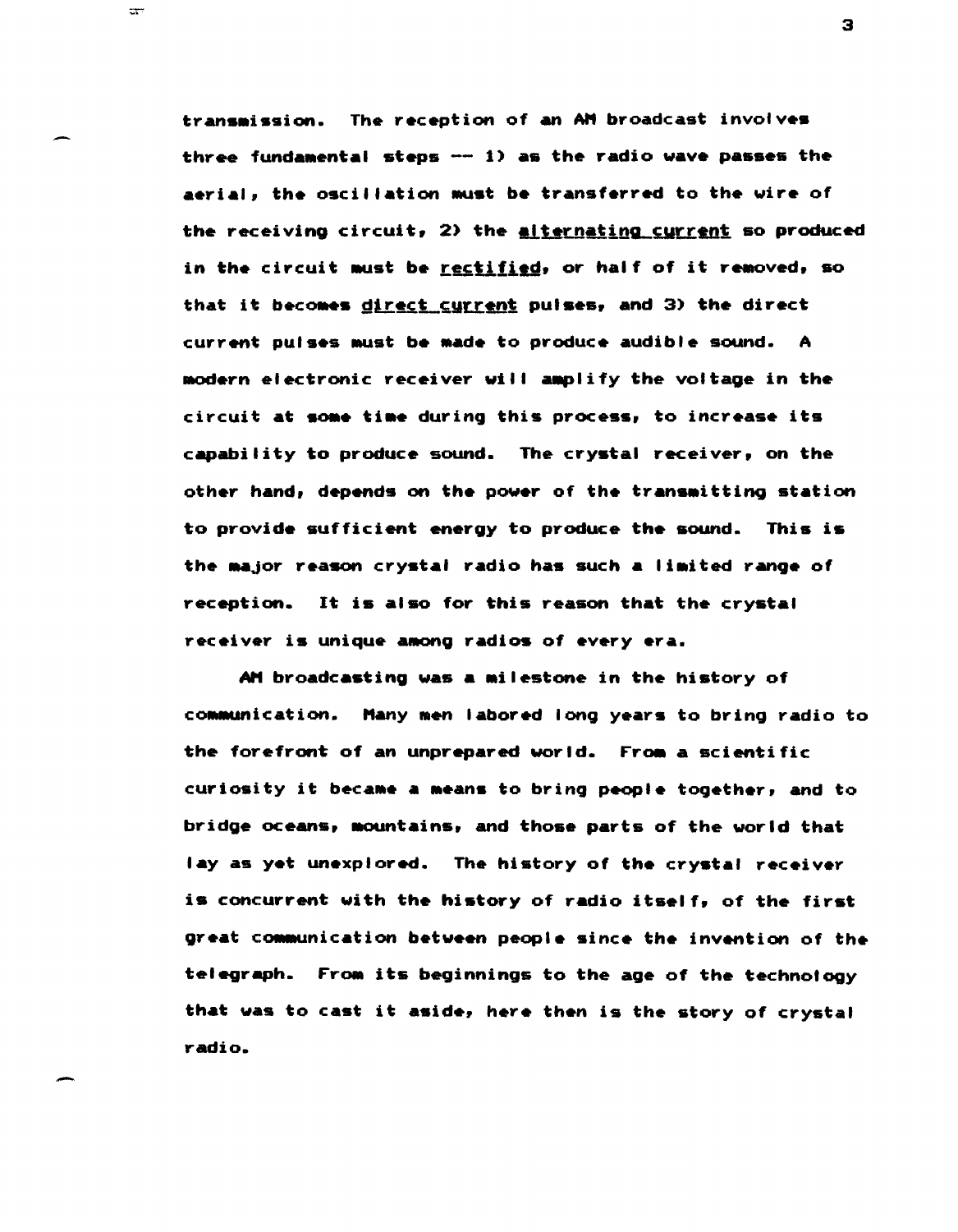transmission. The reception of an AM broadcast involves three fundamental steps -- 1) as the radio wave passes the aerial, the oscillation must be transferred to the wire of the receiving circuit, 2) the alternating current so produced in the circuit must be rectified, or half of it removed, so that it becomes direct current pulses, and 3) the direct current pulses must be made to produce audible sound. A modern electronic receiver will amplify the voltage in the circuit at some time during this process, to increase its capability to produce sound. The crystal receiver, on the other hand, depends on the power of the transmitting station to provide sufficient energy to produce the sound. This is the major reason crystal radio has such a limited range of reception. It is also for this reason that the crystal receiver is unique among radios of every era.

 $\mathbb{R}^n$ 

AM broadcasting was a milestone in the history of communication. Many men labored long years to bring radio to the forefront of an unprepared world. From a scientific curiosity it became a means to bring people together, and to bridge oceans, mountains, and those parts of the world that lay as yet unexplored. The history of the crystal receiver is concurrent with the history of radio itself, of the first great communication between people since the invention of the telegraph. From its beginnings to the age of the technology that was to cast it aside, here then is the story of crystal radio.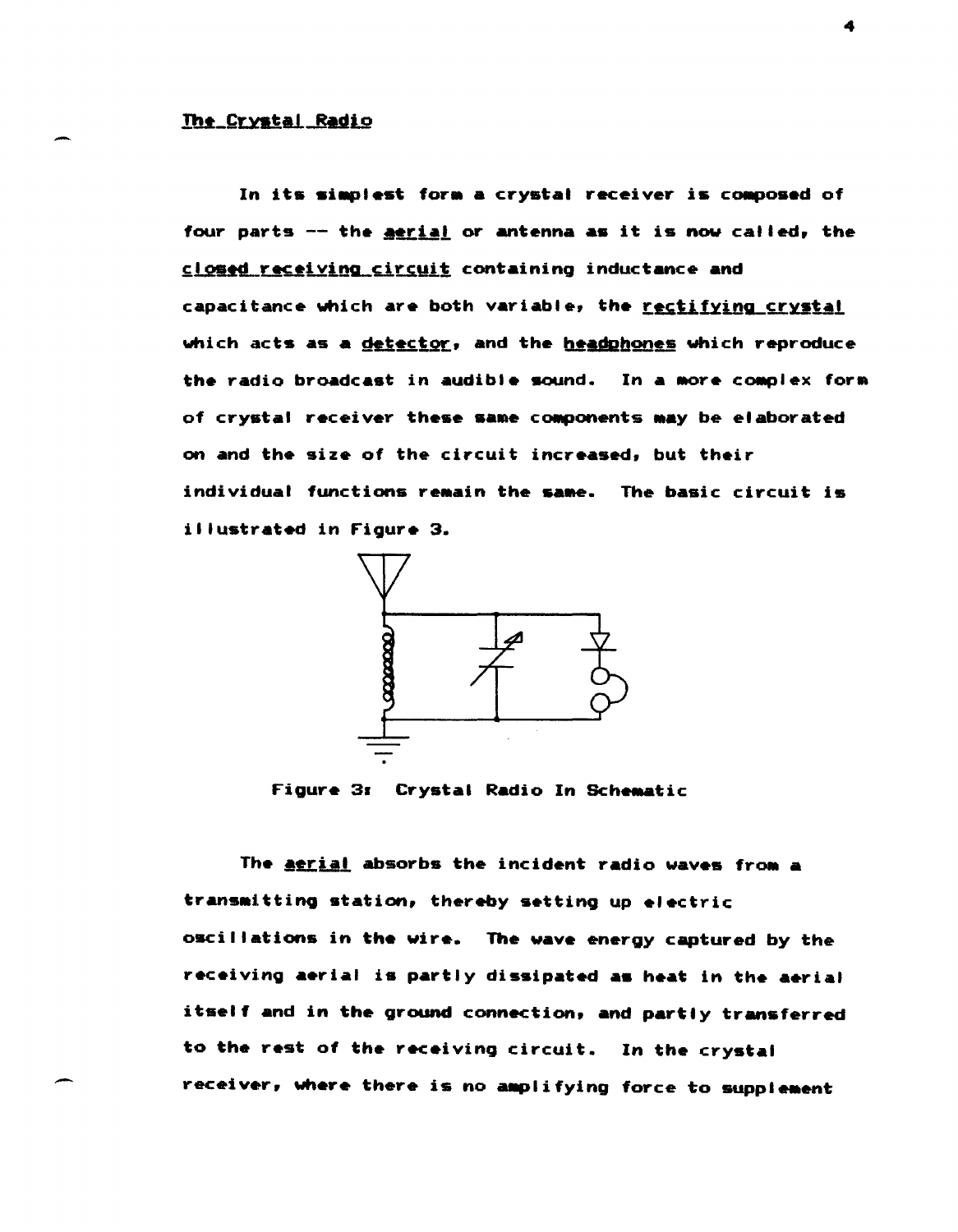In its simplest form a crystal receiver is composed of four parts -- the **aerial** or antenna as it is now called, the closed receiving circuit containing inductance and capacitance which are both variable, the rectifying crystal which acts as a detector, and the headphones which reproduce the radio broadcast in audible sound. In a more complex form of crystal receiver these same components may be elaborated on and the size of the circuit increased, but their individual functions remain the same. The basic circuit is illustrated in Figure 3.



Figure 3: Crystal Radio In Schematic

The aerial absorbs the incident radio waves from a transmitting station, thereby setting up electric oscillations in the wire. The wave energy captured by the receiving aerial is partly dissipated as heat in the aerial itself and in the ground connection, and partly transferred to the rest of the receiving circuit. In the crystal receiver, where there is no amplifying force to supplement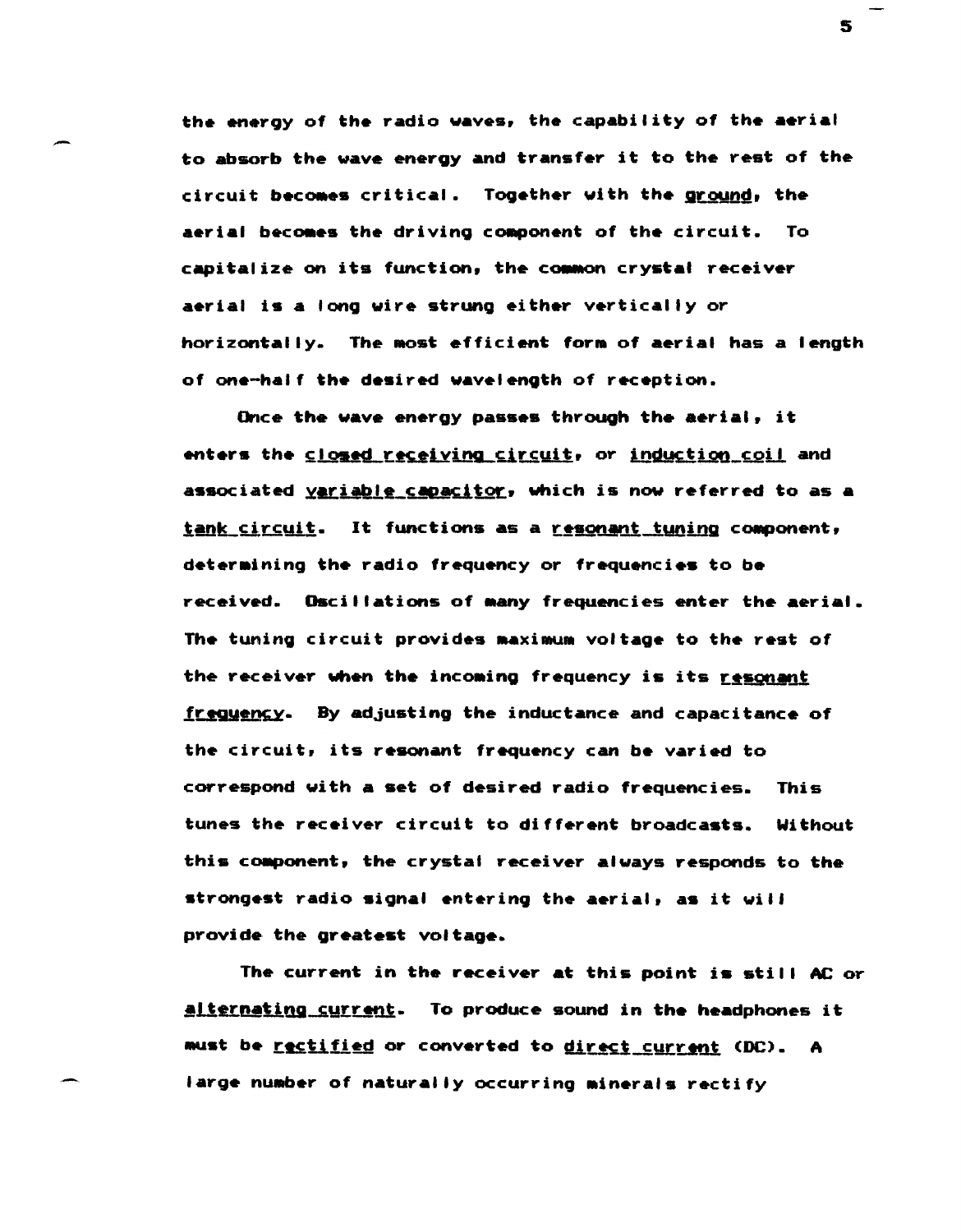the energy of the radio waves, the capability of the aerial to absorb the wave energy and transfer it to the rest of the circuit becomes critical. Together with the ground, the aerial becomes the driving component of the circuit. To capitalize on its function, the common crystal receiver aerial is a long wire strung either vertically or horizontally. The most efficient form of aerial has a length of one-half the desired wavelength of reception.

Once the wave energy passes through the aerial, it enters the closed receiving circuit, or induction coil and associated variable capacitor, which is now referred to as a tank circuit. It functions as a resonant tuning component, determining the radio frequency or frequencies to be received. Oscillations of many frequencies enter the aerial. The tuning circuit provides maximum voltage to the rest of the receiver when the incoming frequency is its resonant frequency. By adjusting the inductance and capacitance of the circuit, its resonant frequency can be varied to correspond with a set of desired radio frequencies. This tunes the receiver circuit to different broadcasts. Without this component, the crystal receiver always responds to the strongest radio signal entering the aerial, as it will provide the greatest voltage.

The current in the receiver at this point is still AC or alternating current. To produce sound in the headphones it must be <u>rectified</u> or converted to <u>direct current</u> (DC). A large number of naturally occurring minerals rectify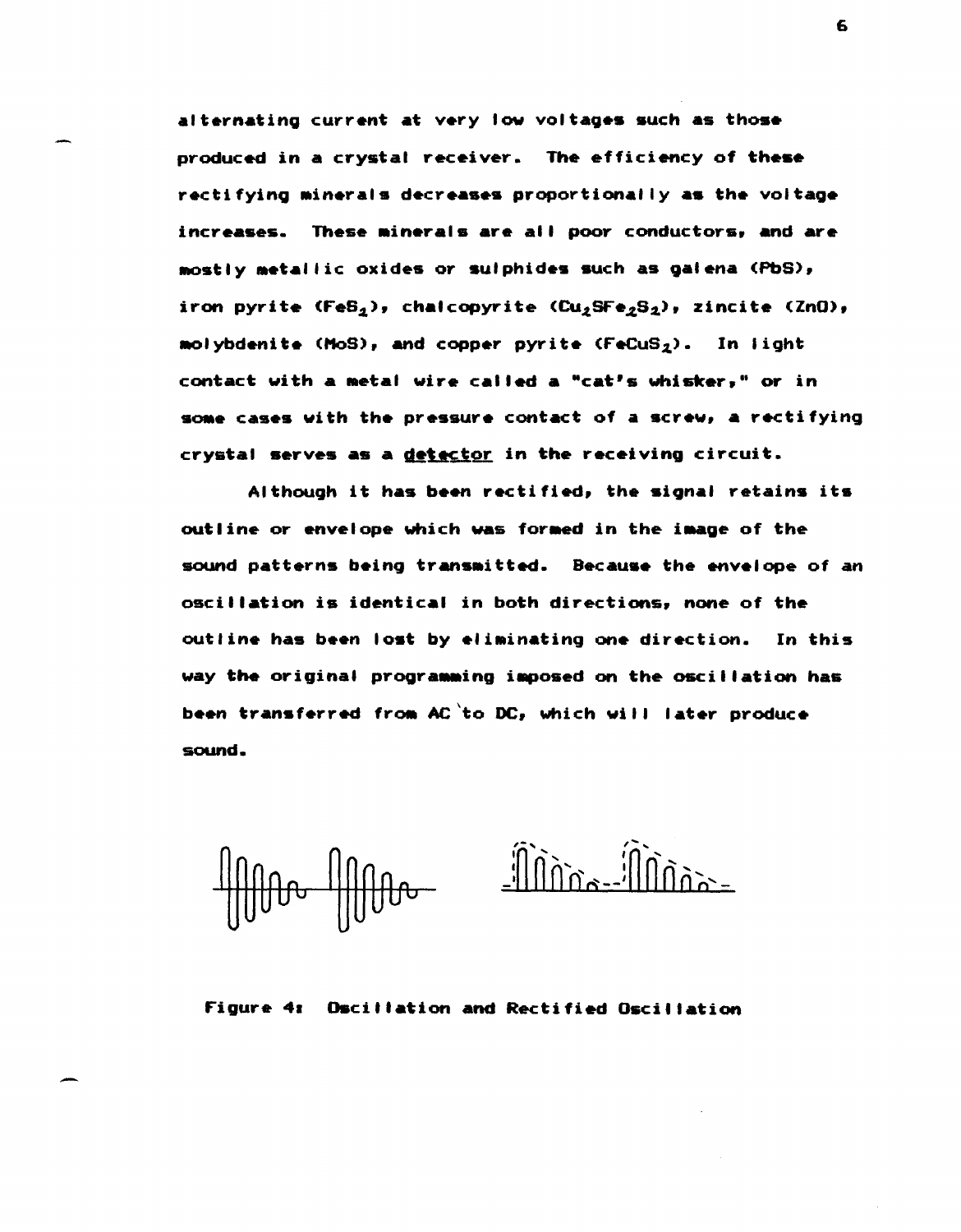alternating current at very low voltages such as those produced in a crystal receiver. The efficiency of these rectifying minerals decreases proportionally as the voltage increases. These minerals are all poor conductors, and are mostly metallic oxides or sulphides such as galena (PbS), iron pyrite (FeS<sub>2</sub>), chalcopyrite (Cu<sub>2</sub>SFe<sub>2</sub>S<sub>2</sub>), zincite (ZnO), molybdenite (MoS), and copper pyrite  $(FeCuS<sub>2</sub>)$ . In light contact with a metal wire called a "cat's whisker," or in some cases with the pressure contact of a screw, a rectifying crystal serves as a detector in the receiving circuit.

Although it has been rectified, the signal retains its outline or envelope which was formed in the image of the sound patterns being transmitted. Because the envelope of an oscillation is identical in both directions, none of the outline has been lost by eliminating one direction. In this way the original programming imposed on the oscillation has been transferred from AC to DC, which will later produce sound.

-

Figure 41 Oscillation and Rectified Oscillation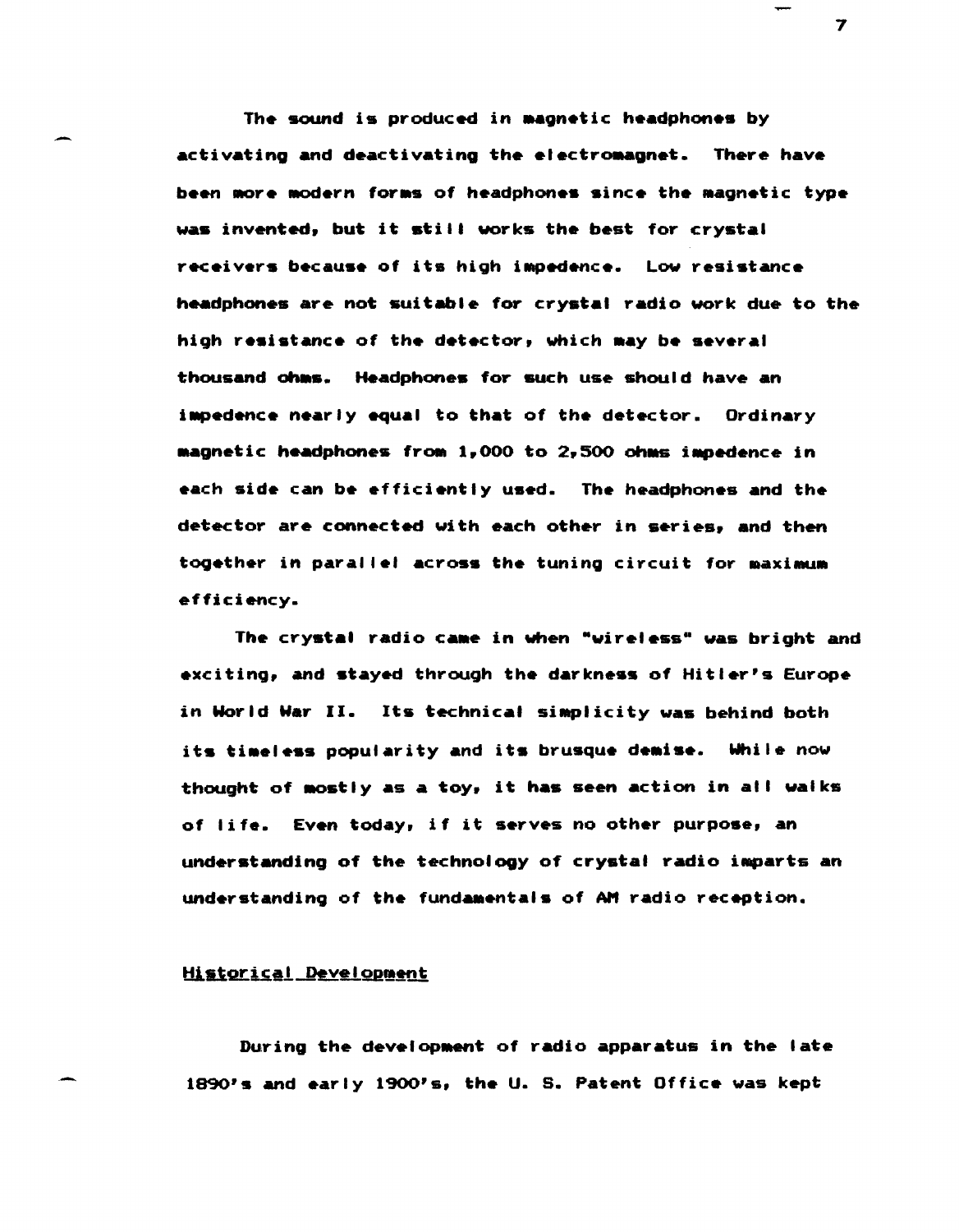The sound is produced in magnetic headphones by activating and deactivating the electromagnet. There have been more modern forms of headphones since the magnetic type was invented, but it still works the best for crystal receivers because of its high impedence. Low resistance headphones are not suitable for crystal radio work due to the high resistance of the detector, which may be several thousand ohms. Headphones for such use should have an impedence nearly equal to that of the detector. Ordinary magnetic headphones from 1,000 to 2,500 ohms impedence in each side can be efficiently used. The headphones and the detector are connected with each other in series, and then together in parallel across the tuning circuit for maximum efficiency.

The crystal radio came in when "wireless" was bright and exciting, and stayed through the darkness of Hitler's Europe in World War II. Its technical simplicity was behind both its timeless popularity and its brusque demise. While now thought of mostly as a toy, it has seen action in all walks of life. Even today, if it serves no other purpose, an understanding of the technology of crystal radio iaparts an understanding of the fundamentals of AM radio reception.

# Historical Development

During the development of radio apparatus in the late 1890's and early 1900's, the U. S. Patent Office was kept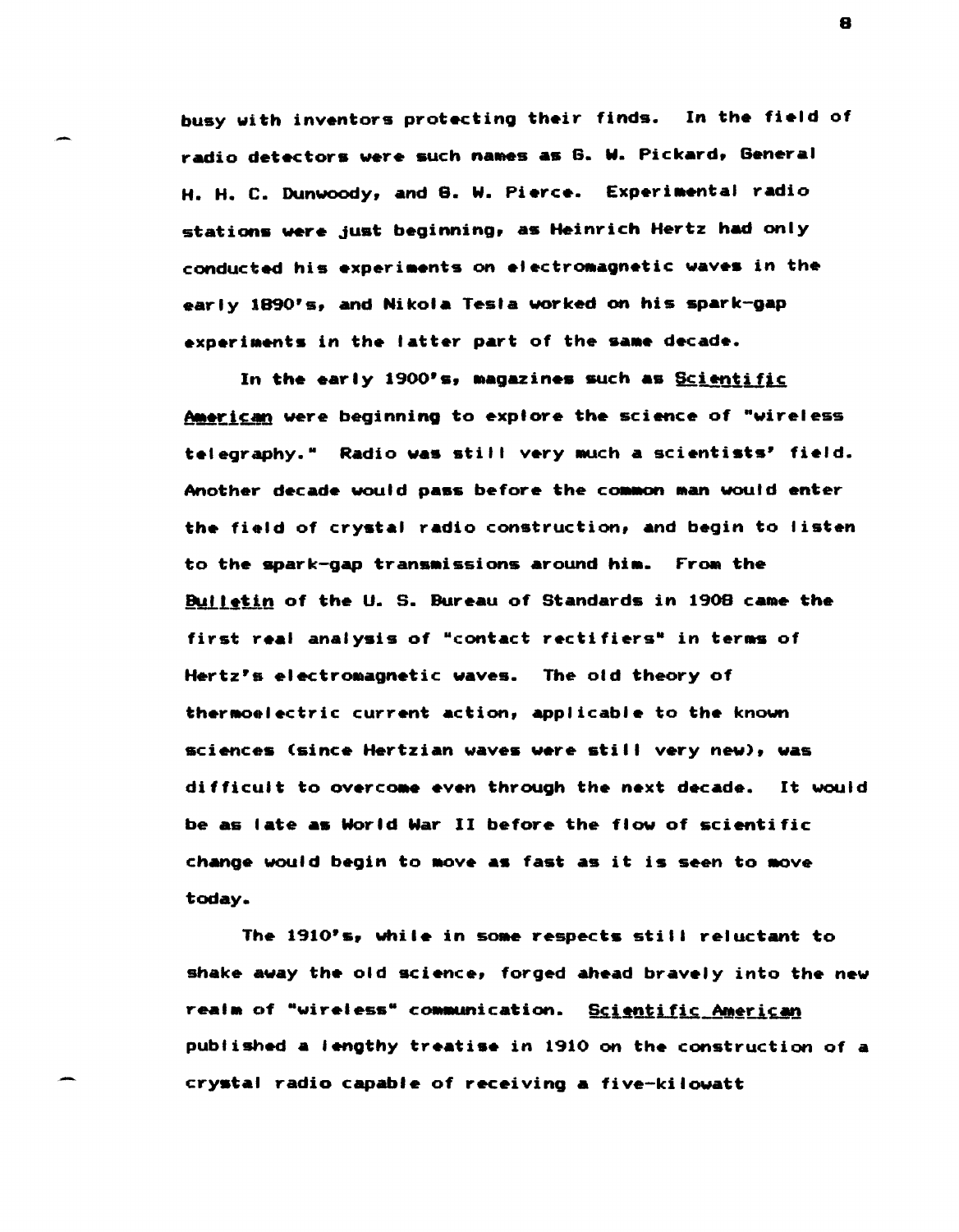busy with inventors protecting their finds. In the field of radio detectors were such names as G. W. Pickard, General H. H. C. Dunwoody, and 8. W. Pierce. Experimental radio stations were just beginning, as Heinrich Hertz had only conducted his experiments on electromagnetic waves in the early 1890's, and Nikola Tesla worked on his spark-gap experiments in the latter part of the same decade.

In the early 1900's, magazines such as Scientific. American were beginning to explore the science of "wireless telegraphy." Radio was still very much a scientists' field. Another decade would pass before the common man would enter the field of crystal radio construction, and begin to listen to the spark-gap transmissions around him. From the Bulletin of the U. S. Bureau of Standards in 1908 came the first real analysis of "contact rectifiers" in terms of Hertz's electromagnetic waves. The old theory of thermoelectric current action, applicable to the known sciences (since Hertzian waves were still very new), was difficult to overcome even through the next decade. It would be as late as World War II before the flow of scientific change would begin to move as fast as it is seen to move today.

The 1910's, while in some respects still reluctant to shake away the old science, forged ahead bravely into the new realm of "wireless" communication. Scientific American published a lengthy treatise in 1910 on the construction of a crystal radio capable of receiving a five-kilowatt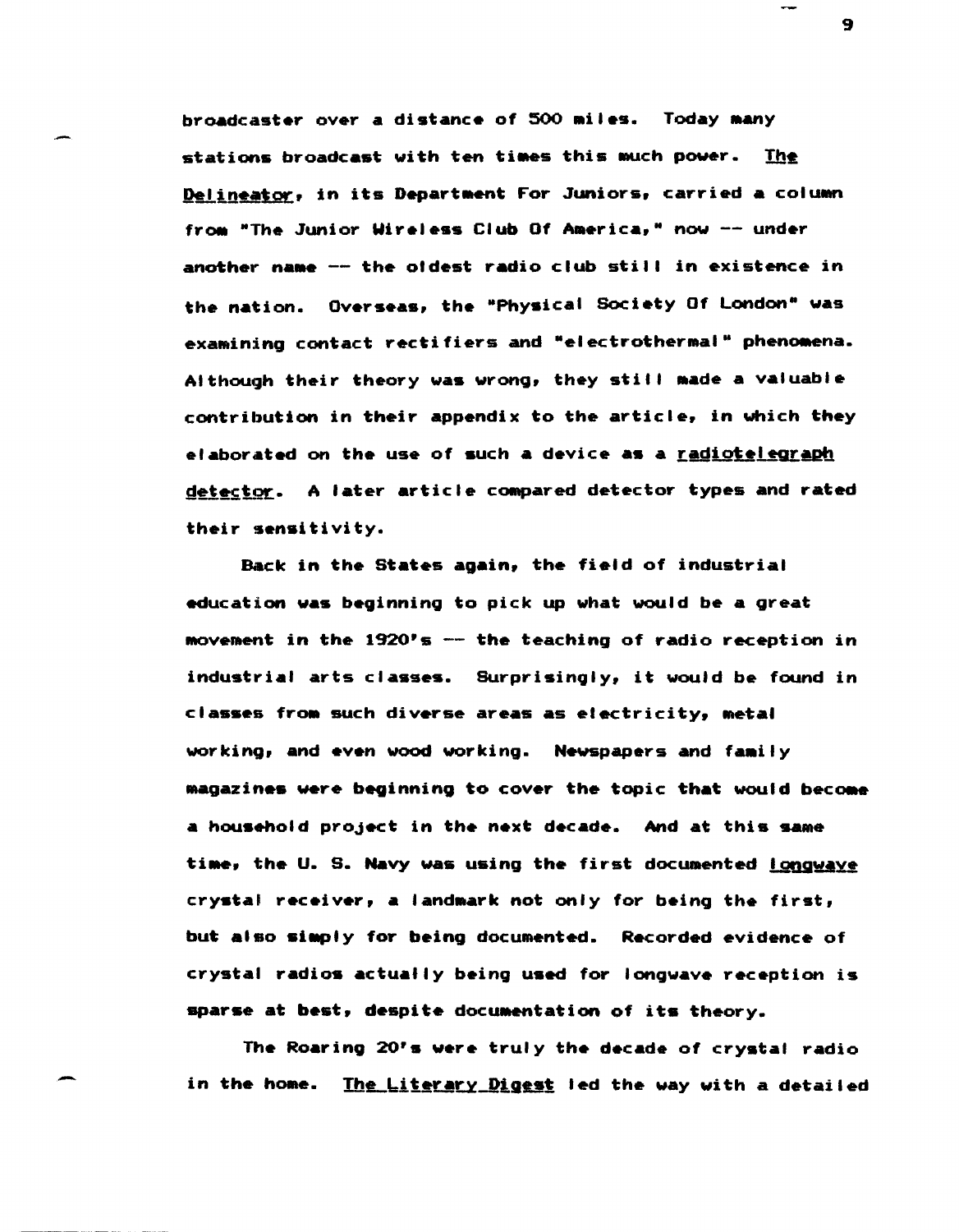broadcaster over a distance of 500 miles. Today many stations broadcast with ten times this much power. The Delineator, in its Department For Juniors, carried a column from "The Junior Wireless Club Of America," now -- under another name  $--$  the oldest radio club still in existence in the nation. Overseas, the "Physical Society Of London" was examining contact rectifiers and "electrothermal" phenomena. Although their theory was wrong, they still made a valuable contribution in their appendix to the article, in which they elaborated on the use of such a device as a <u>radiotelegraph</u> detector. A later article compared detector types and rated their sensitivity.

Back in the States again, the field of industrial education was beginning to pick up what would be a great MOveraent in the 1920's -- the teaching of radio reception in industrial arts classes. SUrprisingly, it would be found in classes from such diverse areas as electricity, metal working, and even wood working. Newspapers and family magazines were beginning to cover the topic that would become a household project in the next decade. And at this same time, the U. S. Navy was using the first documented Longwaye crystal receiver, a landmark not only for being the first, but also simply for being documented. Recorded evidence of crystal radios actually being used for longwave reception is sparse at best, despite documentation of its theory.

The Roaring 20's were truly the decade of crystal radio in the home. The Literary Digest led the way with a detailed

-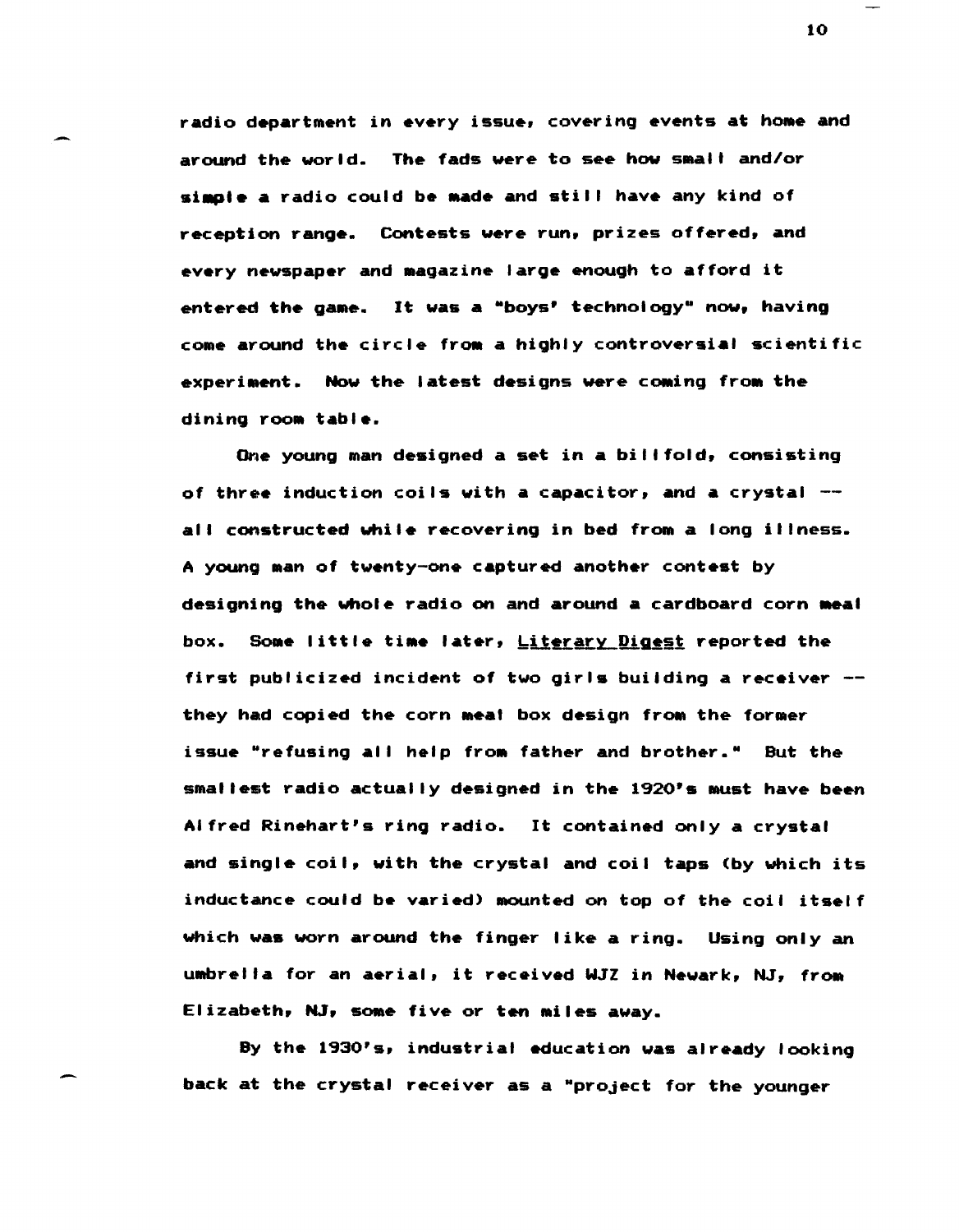radio department in every issue, covering events at home and around the world. The fads were to see how smail and/or simple a radio could be made and still have any kind of reception range. Contests were run, prizes offered, and every newspaper and Magazine large enough to afford it entered the game. It was a "boys' technology" now, having come around the circle from a highly controversial scientific experiment. Now the latest designs were coming from the dining room table.

One young man designed a set in a billfold, consisting of three induction coils with a capacitor, and a crystal  $$ all constructed while recovering in bed from a long illness. A young Man of twenty-one captured another contest by designing the whole radio on and around a cardboard corn meal box. Some little time later, Literary Digest reported the first publicized incident of two girls building a receiver they had copied the corn meat box design from the former issue "refusing all help from father and brother." But the smallesit radio actually designed in the 1920's MUst have been Alfred Rin&hart's ring radio. It contained only a crystal and single coil, with the crystal and coil taps (by which its inductance could be varied) mounted on top of the coil itself which was worn around the finger like a ring. Using only an umbrella for an aerial, it received WJZ in Newark, NJ, from Elizabeth, NJ, some five or ten miles away.

By the 1930's, industrial education was already looking back at the crystal receiver as a "project for the younger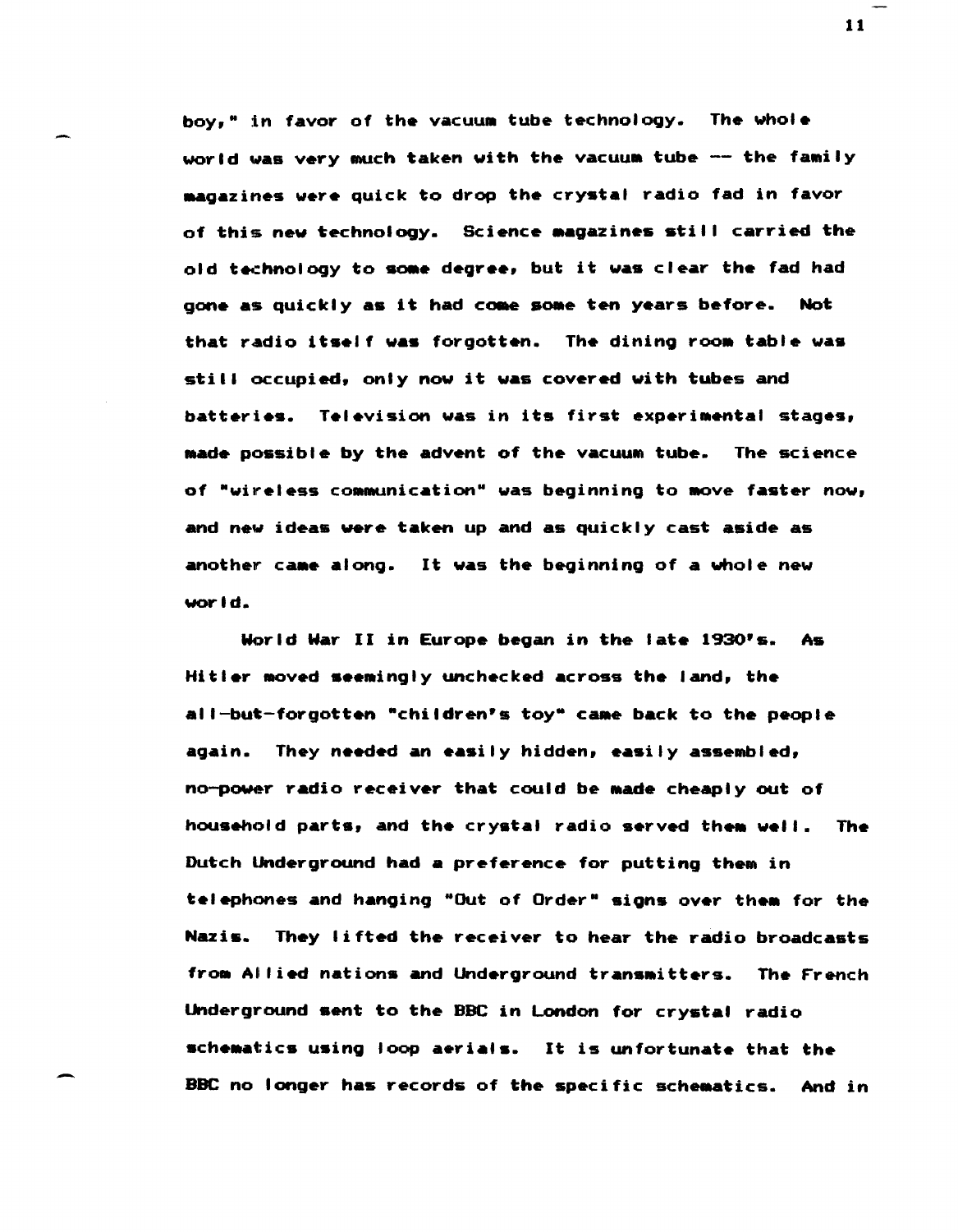boy," in favor of the vacuum tube technology. The whole world was very much taken with the vacuum tube -- the family magazines were quick to drop the crystal radio fad in favor of this new technology. Science magazines still carried the old technology to some degree, but it was clear the fad had gone as quickly as it had come some ten years before. Not that radio itself was forgotten. The dining room table was still occupied, only now it was covered with tubes and batteries. Television was in its first experimental stages, Made possible by the advent of the vaCUUM tube. The science of "wireless communication" was beginning to move faster now, and new ideas were taken up and as quickly cast aside as another came along. It was the beginning of a whole new world.

World War II in Europe began in the late 1930's. As Hitler moved seemingly unchecked across the land, the all-but-forgotten "children's toy" came back to the people again. They needed an easily hidden, easily assembled, no-power radio receiver that could be made cheaply out of household parts, and the crystal radio served them well. The Dutch lMderground had a preference for putting them in telephones and hanging "Out of Order" signs over them for the Nazis. They lifted the receiver to hear the radio broadcasts from Allied nations and Underground transmitters. The French Underground sent to the BBC in London for crystal radio schematics using loop aerials. It is unfortunate that the BBC no longer has records of the specific scheaatics. And in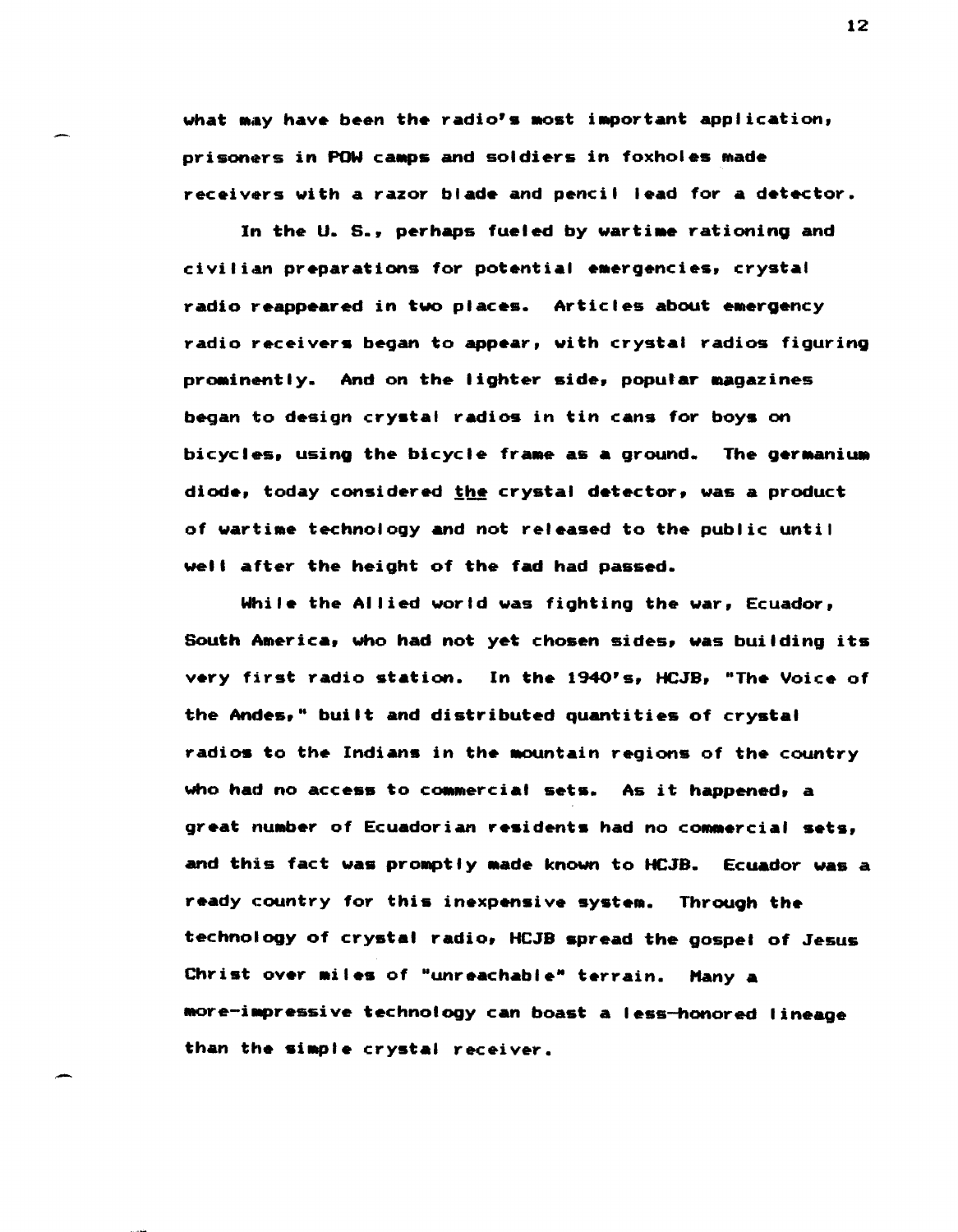what may have been the radio's most important application, prisoners in POW camps and soldiers in foxholes made receivers with a razor blade and pencil lead for a detector.

In the U. S., perhaps fueled by wartime rationing and civilian preparations for potential emergencies, crystal radio reappeared in two places. Articles about emergency radio receivers began to appear, with crystal radios figuring prominently. And on the lighter side, popular magazines began to design crystal radios in tin cans for boys on bicycles, using the bicycle frame as a ground. The germanium diode, today considered the crystal detector, was a product of wartime technology and not released to the public until well after the height of the fad had passed.

While the Allied world was fighting the war, Ecuador, South America, who had not yet chosen sides, was building its very first radio station. In the 1940's, HCJB, "The Voice of the Andes," built and distributed quantities of crystal radios to the Indians in the mountain regions of the country who had no access to commercial sets. As it happened, a great number of Ecuadorian residents had no commercial sets, and this fact was prOMptly Made known to HCJB. Ecuador was a ready country for this inexpensive system. Through the technology of crystal radio, HCJB spread the gospel of Jesus Christ over miles of "unreachable" terrain. Many a more-impressive technology can boast a less-honored lineage than the siaple crystal receiver.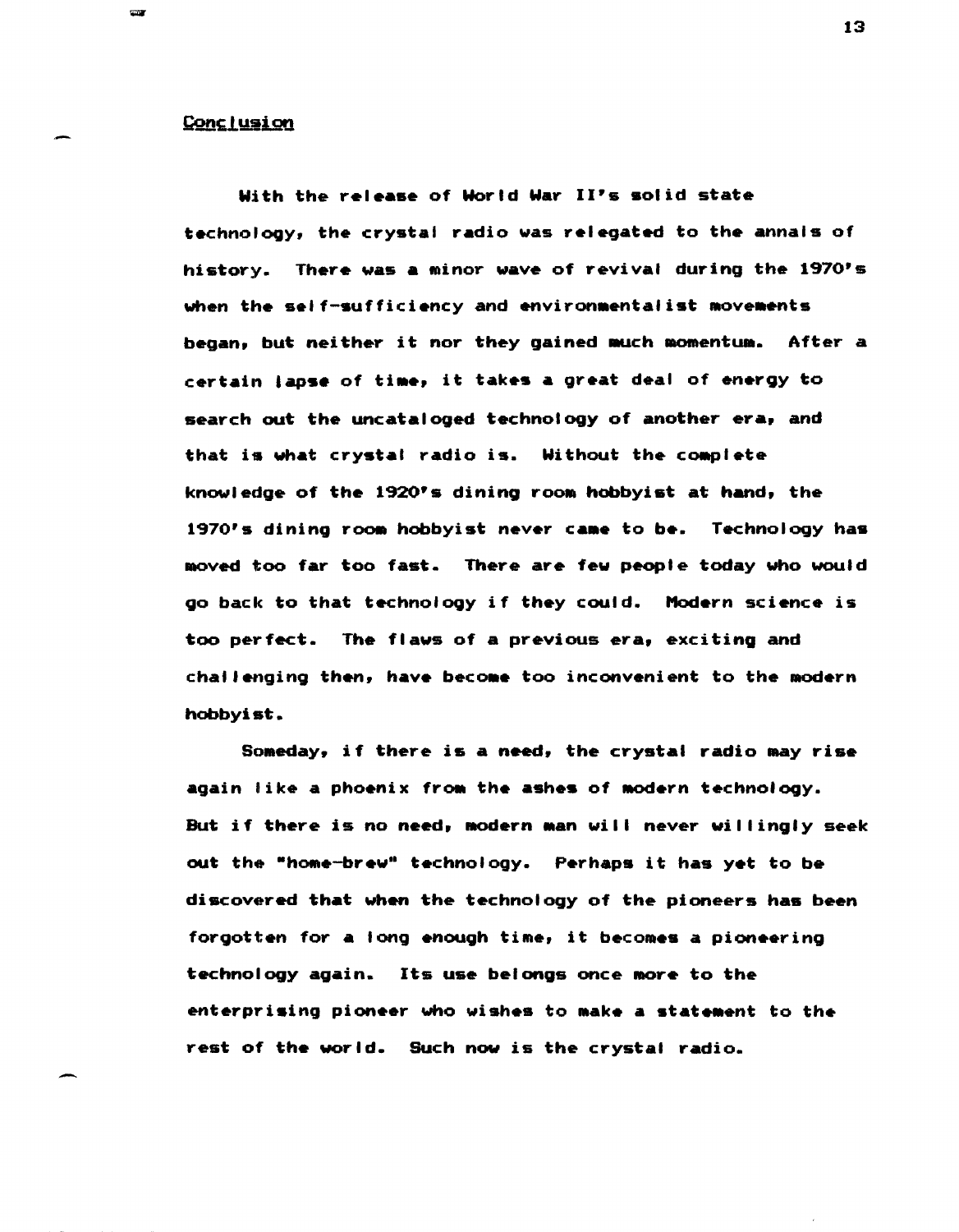### **Conclusion**

**COM** 

-

With the release of World War II's solid state technology, the crystal radio was relegated to the annals of history. There was a minor wave of revival during the 1970's when the self-sufficiency and environmentalist movements began, but neither it nor they gained much momentum. After a certain lapse of time, it takes a great deal of energy to search out the uncataloged technology of another era, and that is what crystal radio is. Without the COMplete knowledge of the 1920's dining room hobbyist at hand, the 1970's dining room hobbyist never came to be. Technology has moved too far too fast. There are few people today who would go back to that technology if they could. Modern science is too perfect. The flaws of a previous era, exciting and challenging then, have become too inconvenient to the modern hobbyist.

Someday, if there is a need, the crystal radio may rise again like a phoenix from the ashes of modern technology. But if there is no need, modern man will never willingly seek out the "home-brew" technology. Perhaps it has yet to be discovered that when the technology of the pioneers has been forgotten for a long enough time, it becomes a pioneering technology again. Its use belongs once MOre to the enterprising pioneer who wishes to make a statement to the rest of the world. SUch now is the crystal radio.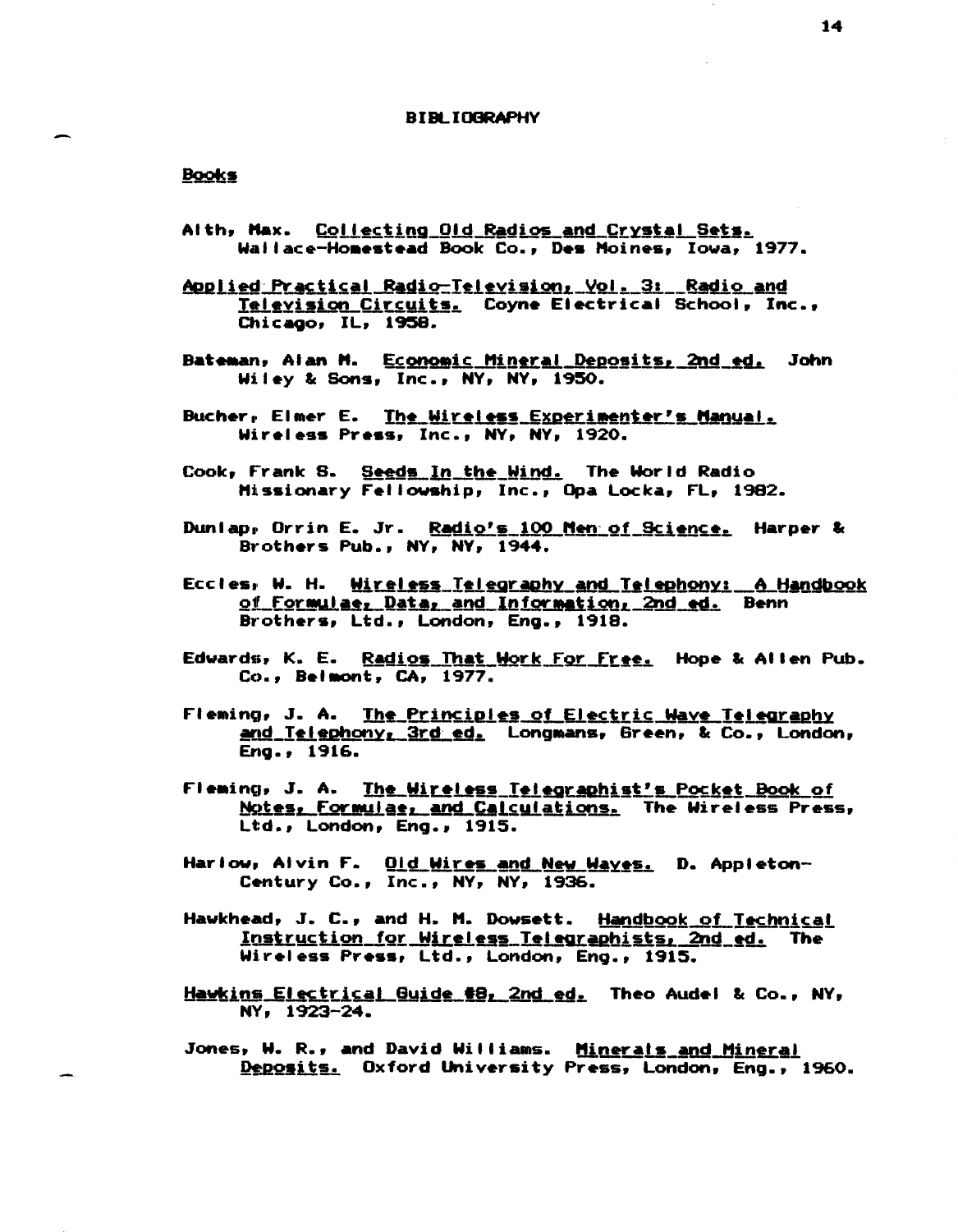#### **BIBLIOGRAPHY**

# **Books**

- Alth, Max. Collecting Old Radios and Crystal Sets. Wallace-Homestead Book Co., Des Moines, Iowa, 1977.
- <u>Applied Practical Radio-Television, Vol. 3: Radio and</u> Television Circuits. Coyne Electrical School, Inc., Chicago, IL, 1958.
- Bateman, Alan M. Economic Mineral Deposits, 2nd ed. John Wiley & Sons, Inc., NY, NY, 1950.
- Bucher, Elmer E. The Wireless Experimenter's Manual. Wireless Press, Inc., NY, NY, 1920.
- Cook, Frank S. Seeds In the Wind. The World Radio Missionary Fellowship, Inc., Opa Locka, FL, 1982.
- Duniap, Orrin E. Jr. Radio's 100 Men of Science. Harper & Brothers Pub., NY, NY, 1944.
- Eccles, W. H. Wireless Telegraphy and Telephony: A Handbook of Formulae, Data, and Information, 2nd ed. Benn Brothers, Ltd., London, Eng., 1918.
- Edwards, K. E. Radios That Work For Free. Hope & Allen Pub. Co., Beimont, CA, 1977.
- Fleming, J. A. The Principles of Electric Wave Telegraphy and Telephony, 3rd ed. Longmans, Green, & Co., London, Eng., 1916.
- Fleming, J. A. The Wireless Telegraphist's Pocket Book of Notes, Formulae, and Calculations. The Wireless Press, Ltd., London, Eng., 1915.
- Harlow, Alvin F. Old Wires and New Wayes. D. Appleton-Century Co., Inc., NY, NY, 1936.
- Hawkhead, J. C., and H. M. Dowsett. Handbook of Technical Instruction for Wireless Telegraphists, 2nd ed. The Wireless Press, Ltd., London, Eng., 1915.
- Hawkins Electrical Guide #8, 2nd ed. Theo Audel & Co., NY, NY, 1923-24.
- Jones, W. R., and David Williams. Minerals and Mineral Deposits. Oxford University Press, London, Eng., 1960.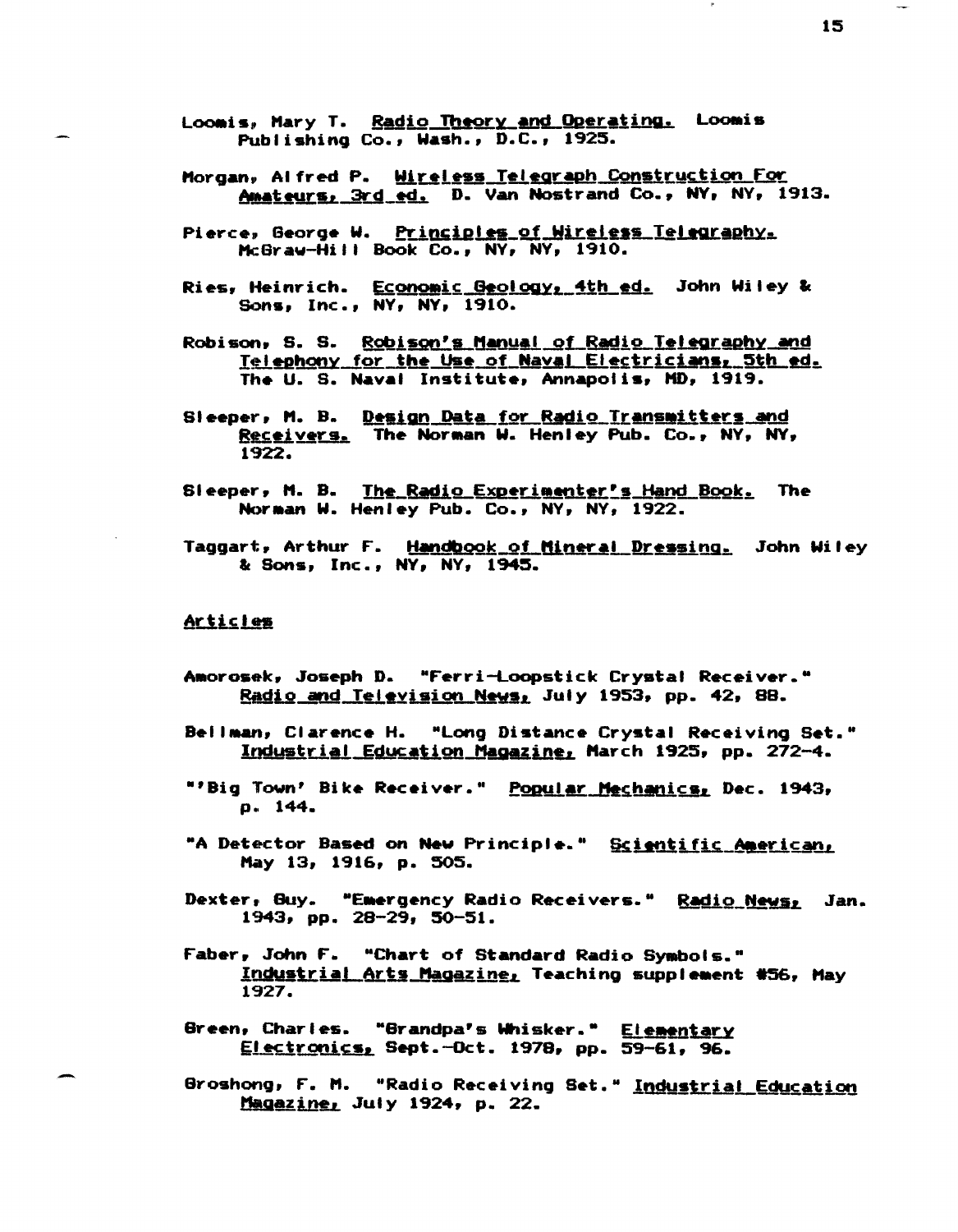Loomis, Mary T. Radio Theory and Operating. Loomis Publishing Co., Wash., D.C., 1925.

- Morgan, Alfred P. Wireless Telegraph Construction For Amateurs, 3rd ed. D. Van Nostrand Co., NY, NY, 1913.
- Pierce, George W. Principles of Wireless Telegraphy. McGraw-Hill Book Co., NY, NY, 1910.
- Ries, Heinrich. Economic Geology, 4th ed. John Wiley & Sons, Inc., NY, NY, 1910.
- Robison, S. S. Robison's Manual of Radio Telegraphy and <u>Telephony for the Use of Naval Electricians, 5th ed.</u> The U. S. Naval Institute, Annapolis, MD, 1919.
- Sleeper, M. B. Design Data for Radio Transmitters and Receivers. The Norman W. Henley Pub. Co., NY, NY, 1922.
- Sleeper, M. B. The Radio Experimenter's Hand Book. The Norman W. Henley Pub. Co., NY, NY, 1922.
- Taggart, Arthur F. Handbook of Mineral Dressing. John Wiley & Sons, Inc., NY, NY, 1945.

## **Articles**

- Amorosek, Joseph D. "Ferri-Loopstick Crysta! Receiver." Radio and Television News, July 1953, pp. 42, 88.
- Bellman, Clarence H. "Long Distance Crystal Receiving Set." Industrial Education Magazine, March 1925, pp. 272-4.
- "'Big Town' Bike Receiver." Popular Mechanics, Dec. 1943, p. 144.
- "A Detector Based on New Principle." Scientific American, May 13, 1916, p. 505.
- Dexter, Guy. "Emergency Radio Receivers." Radio News, Jan. 1943, pp. 28-29, 50-51.
- Faber, John F. "Chart of Standard Radio Symbols." Industrial Arts Magazine, Teaching supplement #56, May 1927.
- Green, Charles. "Grandpa's Whisker." Elementary Electronics, Sept.-Oct. 1978, pp. 59-61, 96.
- Groshong, F. M. "Radio Receiving Set." Industrial Education Magazine, July 1924, p. 22.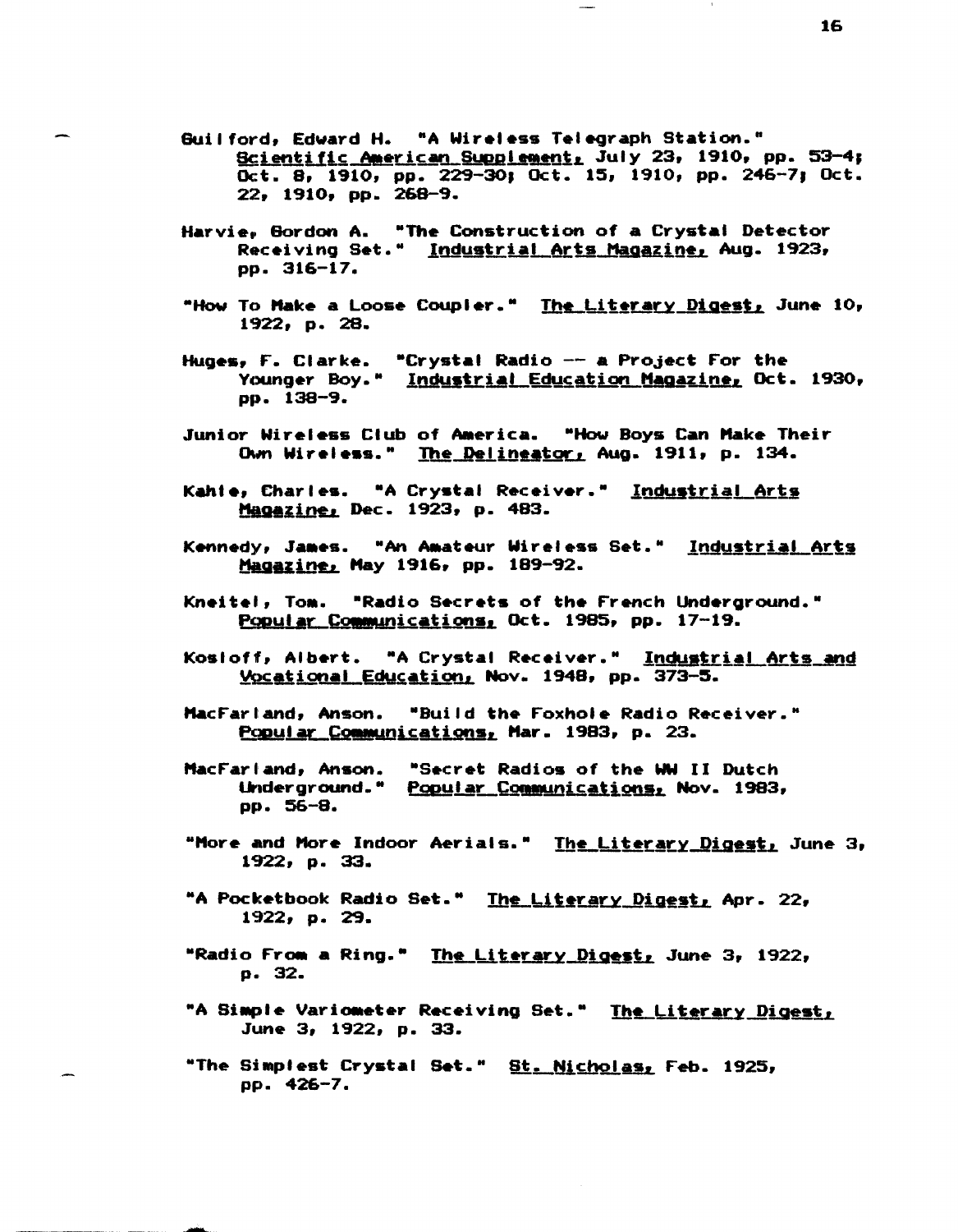- Guilford, Edward H. "A Wireless Telegraph Station." Scientific American Supplement, July 23, 1910, pp. 53-4; Oct. 8, 1910, pp. 229-30; Oct. 15, 1910, pp. 246-7; Oct. 22, 1910, pp. 268-9.
- Harvie. Gordon A. "The Construction of a Crystal Detector Receiving Set." Industrial Arts Magazine, Aug. 1923, pp. 316-17.
- "How To Make a Loose Coupler." The Literary Digest, June 10, 1922, p. 28.
- Huges, F. Clarke. "Crystal Radio -- a Project For the Younger Boy." Industrial Education Magazine, Oct. 1930, рр. 138-9.
- Junior Wireless Club of America. "How Boys Can Make Their Own Wireless." The Delineator, Aug. 1911, p. 134.
- Kahie, Charles. "A Crystal Receiver." Industrial Arts Magazine, Dec. 1923, p. 483.
- Kennedy, James. "An Amateur Wireless Set." Industrial Arts Magazine, May 1916, pp. 189-92.
- Kneitel, Tom. "Radio Secrets of the French Underground." Popular Communications, Oct. 1985, pp. 17-19.
- Kosioff, Albert. "A Crystal Receiver." Industrial Arts and Vocational Education, Nov. 1948, pp. 373-5.
- MacFarland, Anson. "Build the Foxhole Radio Receiver." Popular Communications, Mar. 1983, p. 23.
- MacFarland, Anson. "Secret Radios of the WW II Dutch Underground." Popular Communications, Nov. 1983, pp. 56-8.
- "More and More Indoor Aerials." The Literary Digest, June 3, 1922, p. 33.
- "A Pocketbook Radio Set." The Literary Digest, Apr. 22,  $1922, p. 29.$
- "Radio From a Ring." <u>The Literary Digest,</u> June 3, 1922, p. 32.
- "A Simple Variometer Receiving Set." The Literary Digest, June 3, 1922, p. 33.
- "The Simplest Crystal Set." St<u>. Nicholas,</u> Feb. 1925, рр. 426-7.